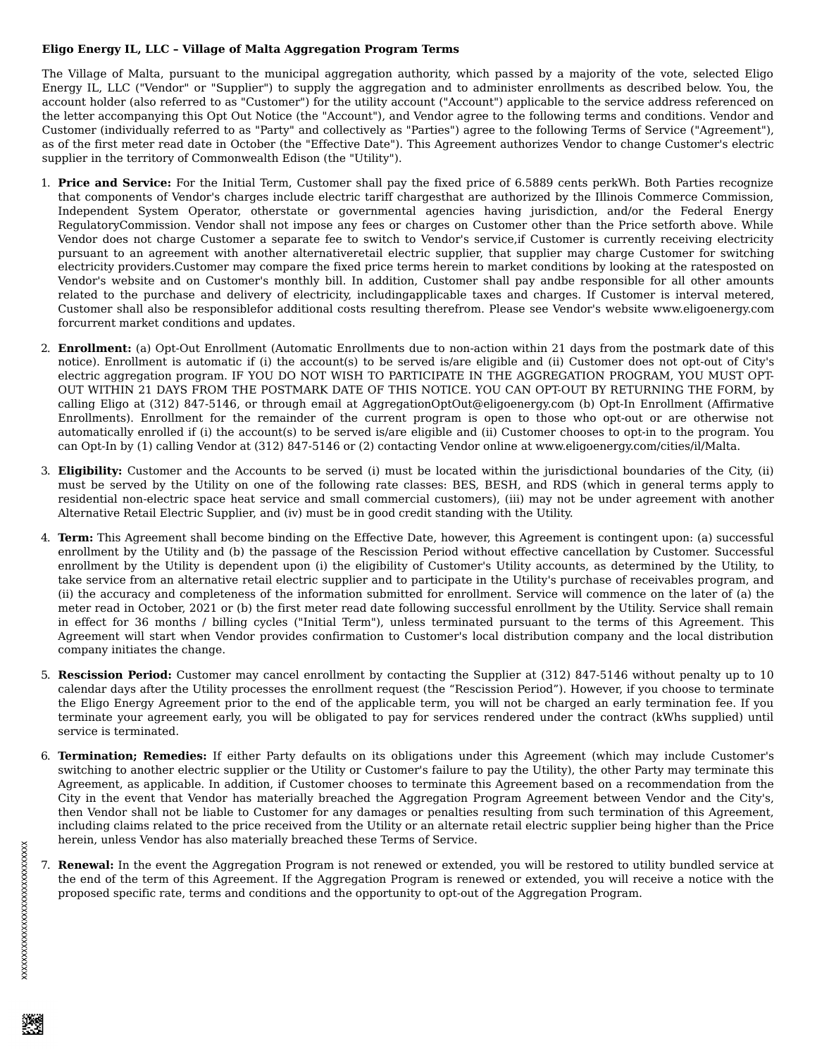## **Eligo Energy IL, LLC – Village of Malta Aggregation Program Terms**

The Village of Malta, pursuant to the municipal aggregation authority, which passed by a majority of the vote, selected Eligo Energy IL, LLC ("Vendor" or "Supplier") to supply the aggregation and to administer enrollments as described below. You, the account holder (also referred to as "Customer") for the utility account ("Account") applicable to the service address referenced on the letter accompanying this Opt Out Notice (the "Account"), and Vendor agree to the following terms and conditions. Vendor and Customer (individually referred to as "Party" and collectively as "Parties") agree to the following Terms of Service ("Agreement"), as of the first meter read date in October (the "Effective Date"). This Agreement authorizes Vendor to change Customer's electric supplier in the territory of Commonwealth Edison (the "Utility").

- 1. **Price and Service:** For the Initial Term, Customer shall pay the fixed price of 6.5889 cents perkWh. Both Parties recognize that components of Vendor's charges include electric tariff chargesthat are authorized by the Illinois Commerce Commission, Independent System Operator, otherstate or governmental agencies having jurisdiction, and/or the Federal Energy RegulatoryCommission. Vendor shall not impose any fees or charges on Customer other than the Price setforth above. While Vendor does not charge Customer a separate fee to switch to Vendor's service,if Customer is currently receiving electricity pursuant to an agreement with another alternativeretail electric supplier, that supplier may charge Customer for switching electricity providers.Customer may compare the fixed price terms herein to market conditions by looking at the ratesposted on Vendor's website and on Customer's monthly bill. In addition, Customer shall pay andbe responsible for all other amounts related to the purchase and delivery of electricity, includingapplicable taxes and charges. If Customer is interval metered, Customer shall also be responsiblefor additional costs resulting therefrom. Please see Vendor's website www.eligoenergy.com forcurrent market conditions and updates.
- 2. **Enrollment:** (a) Opt-Out Enrollment (Automatic Enrollments due to non-action within 21 days from the postmark date of this notice). Enrollment is automatic if (i) the account(s) to be served is/are eligible and (ii) Customer does not opt-out of City's electric aggregation program. IF YOU DO NOT WISH TO PARTICIPATE IN THE AGGREGATION PROGRAM, YOU MUST OPT-OUT WITHIN 21 DAYS FROM THE POSTMARK DATE OF THIS NOTICE. YOU CAN OPT-OUT BY RETURNING THE FORM, by calling Eligo at (312) 847-5146, or through email at AggregationOptOut@eligoenergy.com (b) Opt-In Enrollment (Affirmative Enrollments). Enrollment for the remainder of the current program is open to those who opt-out or are otherwise not automatically enrolled if (i) the account(s) to be served is/are eligible and (ii) Customer chooses to opt-in to the program. You can Opt-In by (1) calling Vendor at (312) 847-5146 or (2) contacting Vendor online at www.eligoenergy.com/cities/il/Malta.
- 3. **Eligibility:** Customer and the Accounts to be served (i) must be located within the jurisdictional boundaries of the City, (ii) must be served by the Utility on one of the following rate classes: BES, BESH, and RDS (which in general terms apply to residential non-electric space heat service and small commercial customers), (iii) may not be under agreement with another Alternative Retail Electric Supplier, and (iv) must be in good credit standing with the Utility.
- 4. **Term:** This Agreement shall become binding on the Effective Date, however, this Agreement is contingent upon: (a) successful enrollment by the Utility and (b) the passage of the Rescission Period without effective cancellation by Customer. Successful enrollment by the Utility is dependent upon (i) the eligibility of Customer's Utility accounts, as determined by the Utility, to take service from an alternative retail electric supplier and to participate in the Utility's purchase of receivables program, and (ii) the accuracy and completeness of the information submitted for enrollment. Service will commence on the later of (a) the meter read in October, 2021 or (b) the first meter read date following successful enrollment by the Utility. Service shall remain in effect for 36 months / billing cycles ("Initial Term"), unless terminated pursuant to the terms of this Agreement. This Agreement will start when Vendor provides confirmation to Customer's local distribution company and the local distribution company initiates the change.
- 5. **Rescission Period:** Customer may cancel enrollment by contacting the Supplier at (312) 847-5146 without penalty up to 10 calendar days after the Utility processes the enrollment request (the "Rescission Period"). However, if you choose to terminate the Eligo Energy Agreement prior to the end of the applicable term, you will not be charged an early termination fee. If you terminate your agreement early, you will be obligated to pay for services rendered under the contract (kWhs supplied) until service is terminated.
- 6. **Termination; Remedies:** If either Party defaults on its obligations under this Agreement (which may include Customer's switching to another electric supplier or the Utility or Customer's failure to pay the Utility), the other Party may terminate this Agreement, as applicable. In addition, if Customer chooses to terminate this Agreement based on a recommendation from the City in the event that Vendor has materially breached the Aggregation Program Agreement between Vendor and the City's, then Vendor shall not be liable to Customer for any damages or penalties resulting from such termination of this Agreement, including claims related to the price received from the Utility or an alternate retail electric supplier being higher than the Price herein, unless Vendor has also materially breached these Terms of Service.
- 7. **Renewal:** In the event the Aggregation Program is not renewed or extended, you will be restored to utility bundled service at the end of the term of this Agreement. If the Aggregation Program is renewed or extended, you will receive a notice with the proposed specific rate, terms and conditions and the opportunity to opt-out of the Aggregation Program.